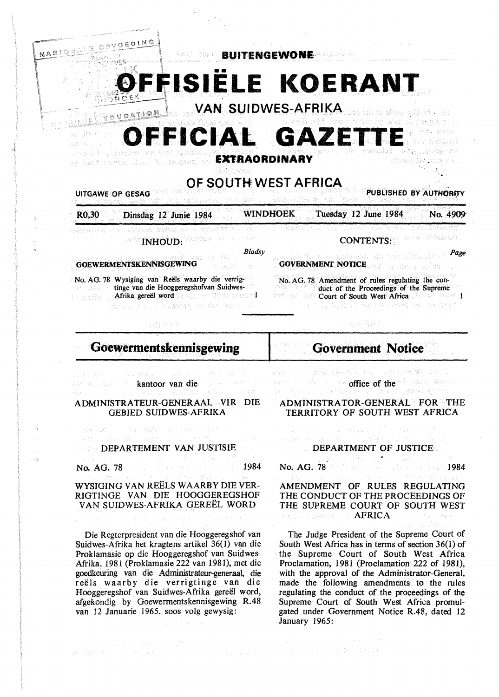

# 1 *%!;"" 't*  FISIELE KOERANT

**VAN SUIDWES-AFRIKA** es. Hi De scida e dio oni



**fX'tRAORDINARY**  de purposa da santa service teste de

**OF SOUTH: WEST AFRICA** 

UITGAWE OP GESAG<sup>S RUIT</sup> WAS DONED SOME AND AUTHORITY OF AUTHORITY

R0,30 Dinsdag 12 Junie 1984 WINDHOEK Tuesday 12 June 1984 No. 4909'

elgodan ya vaab bekoo **INHOUD: EXAMPLE 20** CONTENTS:

tepaside wyst *Bladsy Page* 

**GOEWERMENTSKENNISGEWING GOVERNMENT NOTICE** 

 $V$ OEDING

**NASION** 

sai Hade W formu '~~ *}!}?.}~* .;c~~"~~,;~~⇒~

No. AG. 78 Wysiging van Reels waarby die verrigtinge van die Hooggeregshofvan Suidweshe resolite an Afrika gereël word in show not likele resulted .<br>Andre ged i remona cocky slove od

马耳莫人?

No. AG. 78 Amendment of rules regulating the con-

lori ail: nev Court of South West Africa . also hanv 1

duct of the Proceedings of the Supreme

duedis: Besu

# **Goewermentskennisgewing**

kantoor van die die worden

ADMINISTRATEUR-GENERAAL VIR DIE GEBIED SUIDWES-AFRIKA

DEPARTEMENT VAN JUSTISIE

 $\mathcal{H}_{\text{Cov}}(\Omega \Omega) \Omega^2 < 0.1$ 

No. AG. 78 **1984** 

**Control** Seat

WYSIGING VAN REELS WAARBY DIE VER-RIGTINGE VAN DIE HOOGGEREGSHOF VAN SUIDWES-AFRIKA GEREEL WORD

Die Regterpresident van die Hooggeregshof van Suidwes-Afrika het kragtens artikel 36(1) van die Proklamasie op die Hooggeregshof van Suidwes-Afrika. l 981 (Proklamasie 222 van 1981), met die goedkeuring van die Administrateur-generaal, die reëls waarby die verrigtinge van die Hooggeregshof van Suidwes-Afrika gereël word, afgekondig by Goewermentskennisgewing R.48 van 12 Januarie 1965, soos volg gewysig:

みずみ ストーン ひとみつ おうぶつ アープ コンステート

**Government Notice** 

delenciones de una ciuda experimentale office of the do-**office of the** office of the subsets.<br>This collection of the second the second of the second second second second second second second second second of optestang.

## ADMINISTRATOR-GENERAL FOR THE TERRITORY OF SOUTH WEST AFRICA

# energy with rail the **DEPARTMENT OF JUSTICE**

No. AG. 78 **1984** 

#### AMENDMENT OF RULES REGULATING THE CONDUCT OF THE PROCEEDINGS OF THE SUPREME COURT OF SOUTH WEST **AFRICA** 计结构 电电子环 的复数

The Judge President of the Supreme Court of South West Africa has in terms of section 36(1) of the Supreme Court of South West Africa Proclamation, 1981 (Proclamation 222 of 1981), with the approval of the Administrator-General, made the following amendments to the rules regulating the conduct of the proceedings of the Supreme Court of South West Africa promulgated under Government Notice R.48, dated 12 January 1965: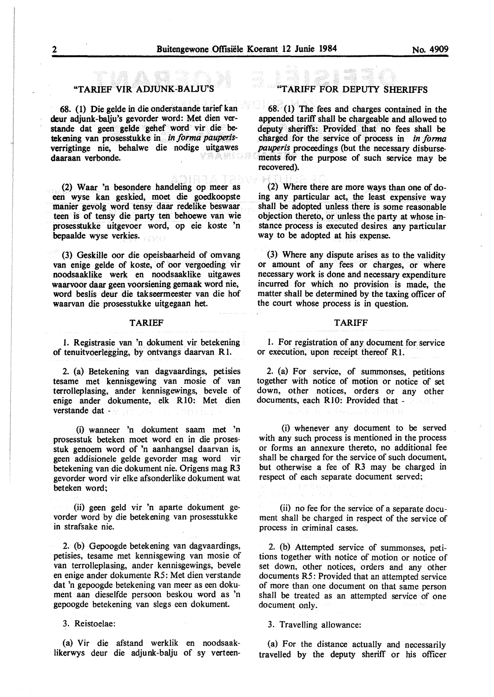#### "TARIEF VIR ADJUNK-BAUU'S

68. (1) Die gelde in die onderstaande tarief kan deur adjunk-balju's gevorder word: Met dien verstande dat geen gelde gehef word vir die betekening van prosesstukke in *in forma pauperis*verrigtinge nie, behalwe die nodige uitgawes daaraan verbonde.

(2) Waar 'n besondere handeling op meer as een wyse kan geskied, moet die goedkoopste manier gevolg word tensy daar redelike beswaar teen is of tensy die party ten behoewe van wie prosesstukke uitgevoer word, op eie koste 'n bepaalde wyse verkies.

(3) Geskille oor die opeisbaarheid of omvang van enige gelde of koste, of oor vergoeding vir noodsaaklike werk en noodsaaklike uitgawes waarvoor daar geen voorsiening gemaak word nie, word beslis deur die takseermeester van die hof waarvan die prosesstukke uitgegaan het.

#### **TARIEF**

1. Registrasie van 'n dokument vir betekening of tenuitvoerlegging, by ontvangs daarvan R 1.

2. (a) Betekening van dagvaardings, petisies tesame met kennisgewing van mosie of van terrolleplasing, ander kennisgewings, bevele of enige ander dokumente, elk RIO: Met dien verstande dat -

(i) wanneer 'n dokument saam met 'n prosesstuk beteken moet word en in die prosesstuk genoem word of 'n aanhangsel daarvan is, geen addisionele gelde gevorder mag word vir betekening van die dokument nie. Origens mag R3 gevorder word vir elke afsonderlike dokument wat beteken word;

(ii) geen geld vir 'n aparte dokument gevorder word by die betekening van prosesstukke in strafsake nie.

2. (b) Gepoogde betekening van dagvaardings, petisies, tesame met kennisgewing van mosie of van terrolleplasing, ander kennisgewings, bevele en enige ander dokumente R5: Met dien verstande dat 'n gepoogde betekening van meer as een dokument aan dieselfde persoon beskou word as 'n gepoogde betekening van slegs een dokument.

3. Reistoelae:

(a) Vir die afstand werklik en noodsaaklikerwys deur die adjunk-balju of sy verteen-

## **"TARIFF FOR DEPU1Y SHERIFFS**

 $68. (1)$  The fees and charges contained in the appended tariff shall be chargeable and allowed to deputy sheriffs: Provided that no fees shall be charged for the service of process in *in forma pauperis* proceedings (but the necessary disbursements for the purpose of such service may be recovered).

(2) Where there are more ways than one of doing any particular act, the least expensive way shall be adopted unless there is some reasonable objection thereto, or unless the party at whose instance process is executed desires. any particular way to be adopted at his expense.

(3) Where any dispute arises as to the validity or amount of any fees or charges, or where necessary work is done and necessary expenditure incurred for which no provision is made, the matter shall be determined by the taxing officer of the court whose process is in question.

#### **TARIFF**

1. For registration of any document for service or execution, upon receipt thereof RI.

2. (a) For service, of summonses, petitions together with notice of motion or notice of set down, other notices, orders or any other documents, each Rl0: Provided that -

(i) whenever any document to be served with any such process is mentioned in the process or forms an annexure thereto, no additional fee shall be charged for the service of such document, but otherwise a fee of R3 may be charged in respect of each separate document served;

(ii) no fee for the service of a separate document shall be charged in respect of the service of process in criminal cases.

2. (b) Attempted service of summonses, petitions together with notice of motion or notice of set down, other notices, orders and any other documents R5: Provided that an attempted service of more than one document on that same person shall be treated as an attempted service of one document only.

#### 3. Travelling allowance:

(a) For the distance actually and necessarily travelled by the deputy sheriff or his officer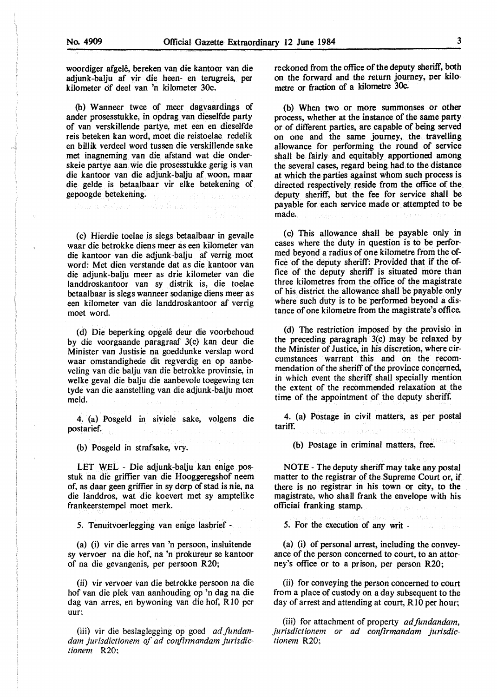$\rightarrow$ 

woordiger afgelê, bereken van die kantoor van die adjunk-balju af vir die heen- en terugreis, per kilometer of deel van 'n kilometer 30c.

(b) W anneer twee of meer dagvaardings of ander prosesstukke, in opdrag van dieselfde party of van verskillende partye, met een en dieselfde reis beteken kan word, moet die reistoelae redelik en billik verdeel word tussen die verskillende sake met inagneming van die afstand wat die onderskeie partye aan wie die prosesstukke gerig is van die kantoor van die adjunk-balju af woon, maar die gelde is betaalbaar vir elke betekening of gepoogde betekening.

tone as say hence or superficient of the

(c) Hierdie toelae is slegs betaalbaar in gevalle waar die betrokke diens meer as een kilometer van die kantoor van die adjunk-balju af verrig moet word: Met dien verstande dat as die kantoor van die adjunk-balju meer as drie kilometer van die landdroskantoor van sy distrik is, die toelae betaalbaar is slegs wanneer sodanige diens meer as een kilometer van die landdroskantoor af verrig moet word.

(d) Die beperking opgelê deur die voorbehoud by die voorgaande paragraaf 3(c) kan deur die Minister van Justisie na goeddunke verslap word waar omstandighede dit regverdig en op aanbeveling van die balju van die betrokke provinsie, in welke geval die balju die aanbevole toegewing ten tyde van die aanstelling van die adjunk-balju moet meld.

4. (a) Posgeld in siviele sake, volgens die postarief.

(b) Posgeld in strafsake, vry.

LET WEL - Die adjunk-balju kan enige posstuk na die griffier van die Hooggeregshof neem of, as daar geen griffier in sy dorp of stad is nie, na die landdros, wat die koevert met sy amptelike frankeerstempel moet merk.

*5.* Tenuitvoerlegging van enige lasbrief -

(a) (i) vir die arres van 'n persoon, insluitende sy vervoer na die hof, na 'n prokureur se kantoor of na die gevangenis, per persoon R20;

(ii) vir vervoer van die betrokke persoon na die hof van die plek van aanhouding op 'n dag na die dag van arres, en bywoning van die hof, R 10 per uur;

(iii) vir die besJaglegging op goed *ad fundan*dam jurisdictionem of ad confirmandam jurisdic*tionem* R20;

reckoned from the office of the deputy sheriff, both on the forward and the return journey, per kilometre or fraction of a kilometre 30c.

(b) When two or more summonses or other process, whether at the instance of the same party or of different parties, are capable of being served on one and the same journey, the travelling allowance for performing the round of service shall be fairly and equitably apportioned among the several cases, regard being had to the distance at which the parties against whom such process is directed respectively reside from the office of the deputy sheriff, but the fee for service shall be payable for each service made or attempted to be made.

( c) This allowance shall be payable only in cases where the duty in question is to be performed beyond a radius of one kilometre from the office of the deputy sheriff: Provided that if the office of the deputy sheriff is situated more than three kilometres from the office of the magistrate of his district the allowance shatl be payable only where such duty is to be performed beyond a distance of one kilometre from the magistrate's office.

(d) The restriction imposed by the provisio in the preceding paragraph 3(c) may be relaxed by the Minister of Justice, in his discretion, where circumstances warrant this and on the recommendation of the sheriff of the province concerned, in which event the sheriff shall specially mention the extent of the recommended relaxation at the time of the appointment of the deputy sheriff.

4. (a) Postage in civil matters, as per postal tariff.

(b) Postage in criminal matters, free.

NOTE - The deputy sheriff may take any postal matter to the registrar of the Supreme Court or, if there is no registrar in his town or city, to the magistrate, who shall frank the envelope with his official franking stamp.

*5.* For the execution of any writ -

(a) (i) of personal arrest, including the conveyance of the person concerned to court, to an attorney's office or to a prison, per person R20;

(ii) for conveying the person concerned to court from a place of custody on a day subsequent to the day of arrest and attending at court, R10 per hour;

(iii) for attachment of property *adfundandam,*  jurisdictionem or ad confirmandam jurisdic*tionem* R20;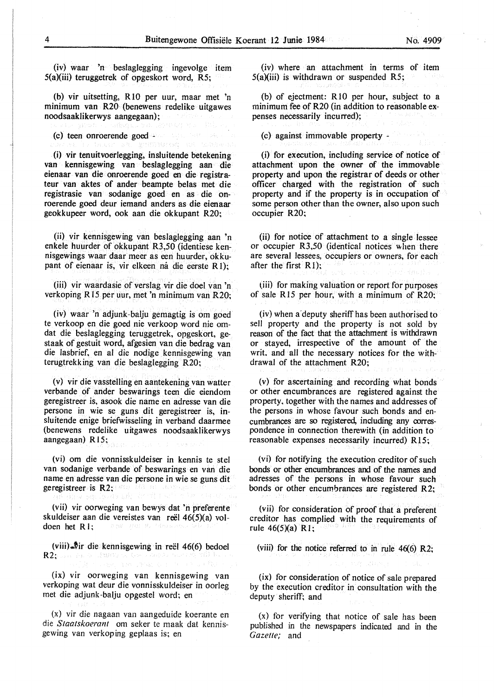(iv) waar 'n beslaglegging ingevolge item S(a)(iii) teruggetrek of opgeskort word, RS;

(b) vir uitsetting, RlO per uur, maar met 'n minimum van R20 (benewens redelike uitgawes noodsaaklikerwys aangegaan);

(c) teen onroerende goed -

(i) vir tenuitvoerlegging, insluitende betekening van kennisgewing van beslaglegging aan die eienaar van die onroerende goed en die registrateur van aktes of ander beampte belas met die registrasie van sodanige goed en as die onroerende goed deur iemand anders as die eienaar geokkupeer word, ook aan die okkupant R20;

(ii) vir kennisgewing van beslaglegging aan 'n enkele huurder of okkupant R3,50 (identiese kennisgewings waar daar meer as een huurder, okkupant of eienaar is, vir elkeen ná die eerste R1):

(iii) vir waardasie of verslag vir die doel van 'n verkoping RI 5 per uur, met 'n minimum van R20;

(iv) waar 'n adjunk-balju gemagtig is om goed te verkoop en die goed nie verkoop word nie omdat die beslaglegging teruggetrek, opgeskort, gestaak of gestuit word, af gesien van die bedrag van die lasbrief, en al die nodige kennisgewing van terugtrekking van die beslaglegging R20;

(v) vir die vasstelling en aantekening van watter verbande of ander beswarings teen die eiendom geregistreer is, asook die name en adresse van die persone in wie se guns dit geregistreer is, insluitende enige briefwisseling in verband daarmee (benewens redelike uitgawes noodsaaklikerwys aangegaan) R 15;

(vi) om die vonnisskuldeiser in kennis te stel van sodanige verbande of beswarings en van die name en adresse van die persone in wie se guns dit geregistreer is **R2;** 

(vii) vir oorweging van bewys dat 'n preferente skuldeiser aan die vereistes van reël 46(5)(a) voldoen het RI;

(viii)  $\frac{1}{2}$ ir die kennisgewing in reël 46(6) bedoel R2: Day Factor (FMOV)

**(ix)** vir oorweging van kennisgewing van verkoping wat deur die vonnisskuldeiser in oorleg met die adjunk-balju opgestel word; en

(x) vir die nagaan van aangeduide koerante en die *Staatskoeranl* om seker te maak dat kennisgewing van verkoping geplaas is; en

(iv) where an attachment in terms of item  $5(a)(iii)$  is withdrawn or suspended R5;

(b) of ejectment: RIO per hour, subject to a minimum fee of R20 (in addition to reasonable expenses necessarily incurred);

(c) against immovable property -

(i) for execution, including service of notice of attachment upon the owner of the immovable property and upon the registrar of deeds or other officer charged with the registration of such property and if the property is in occupation of some person other than the owner, also upon such occupier R20;

(ii) for notice of attachment to a single lessee or occupier R3,50 (identical notices when there are several lessees, occupiers or owners, for each after the first  $R1$ :

(iii) for making valuation or report for purposes of sale R15 per hour, with a minimum of R20;

(iv) when a·deputy sheriffhas been authorised to sell property and the property is not sold by reason of the fact that the attachment is withdrawn or stayed, irrespective of the amount of the writ. and all the necessary notices for the withdrawal of the attachment **R20;** 

(v) for ascertaining and recording what bonds or other encumbrances are registered against the property, together with the names and addresses of the persons in whose favour such bonds and encumbrances are so registered, including any correspondence in connection therewith (in addition to reasonable expenses necessarily incurred) R 15;

(vi) for notifying the execution creditor of such bonds or other encumbrances and of the names and adresses of the persons in whose favour such bonds or other encumbrances are registered **R2;** 

(vii) for consideration of proof that a preferent creditor has complied with the requirements of rule  $46(5)(a)$  R<sub>1</sub>;

(viii) for the notice referred to in rule 46(6) R2;

(ix) for consideration of notice of sale prepared by the execution creditor in consultation with the deputy sheriff; and

(x) for verifying that notice of sale has been published in the newspapers indicated and in the *Gazette;* and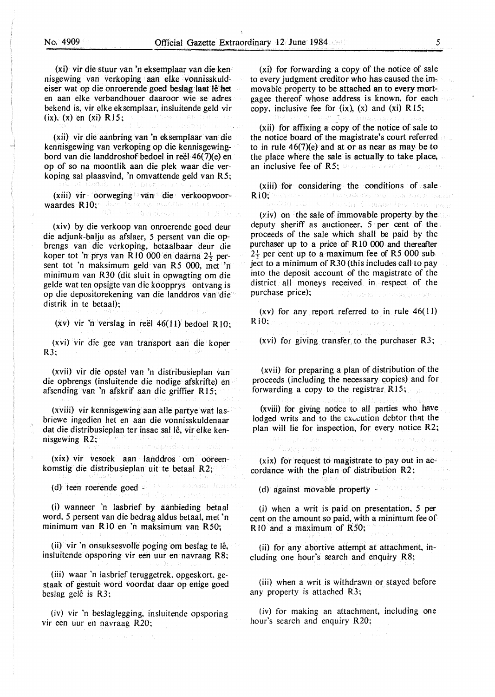(xi) vir die stuur van 'n eksemplaar van die kennisgewing van verkoping aan elke vonnisskuldeiser wat op die onroerende goed beslag laat lê het en aan elke verbandhouer daaroor wie se adres bekend is, vir elke eksemplaar, insluitende geld vir (ix). (x) en **(xi) R** 15;

(xii) vir die aanbring van 'n eksemplaar van die kennisgewing van verkoping op die kennisgewingbord van die landdroshof bedoel in reel 46(7)(e) en op of so na moontlik aan die plek waar die verkoping sal plaasvind, 'n omvattende geld van R5;

**(xiii)** vir oorweging van die verkoopvoorwaardes  $R10$ ;

(xiv) by die verkoop van onroerende goed deur die adjunk-balju as afslaer, 5 persent van die opbrengs van die vcrkoping, betaalbaar deur die koper tot 'n prys van R 10 000 en daarna 2½ persent tot 'n maksimum geld van R5 000, met 'n minimum van R30 (dit sluit in opwagting om die gelde wat ten opsigte van die koopprys ontvang is op die depositorekening van die landdros van die distrik in te betaal);

(xv) vir 'n verslag in reël  $46(11)$  bedoel R10:

(xvi) vir die gee van transport aan die koper R3:

(xvii) vir die opstel van 'n distribusieplan van die opbrengs (insluitende die nodige afskrifte) en afsending van 'n afskrif aan die griffier R 15;

(xviii) vir kennisgewing aan alle partye wat lasbriewe ingedien het en aan die vonnisskuldenaar dat die distribusieplan ter insae sal lê, vir elke kennisgewing R2;

(xix) vir vesoek aan landdros om ooreenkomstig die distribusieplan uit te betaal R2;

(d) teen roerende goed -

(i) wanneer 'n lasbrief by aanbieding betaal word. 5 persent van die bedrag aldus betaal, met 'n minimum van RIO en 'n maksimum van R50;

(ii) vir 'n onsuksesvolle poging om beslag te lê, insluitende opsporing vir een uur en navraag RS;

(iii) waar 'n lasbrief teruggetrek. opgeskort, gestaak of gestuit word voordat daar op enige goed beslag gelê is R3;

(iv) vir 'n beslaglegging, insluitende opsporing vir een uur en navraag R20;

(xi) for forwarding a copy of the notice of sale to every judgment creditor who has caused the immovable property to be attached an to every mortgagee thereof whose address is known, for each copy, inclusive fee for  $(ix)$ ,  $(x)$  and  $(xi)$  R 15;

(xii) for affixing a copy of the notice of sale to the notice board of the magistrate's court referred to in rule 46(7)(e) and at or as near as may be to the place where the sale is actually to take place, an inclusive fee of R5; and the state of

**(xiii)** for considering the conditions of sale **RIO:**  THAT EASTERN PROTECTIVE REPORT ON Sull Horschip (

. Balance Alter

(xiv) on the sale of immovable property by the deputy sheriff as auctioneer,  $5$  per cent of the proceeds of the sale which shall be paid by the purchaser up to a price of R 10 000 and thereafter  $2\frac{1}{2}$  per cent up to a maximum fee of R5 000 subject to a minimum of R30 (this includes call to pay into the deposit account of the magistrate of the district all moneys received in respect of the purchase price):

(xv) for any report referred to in rule  $46(11)$  $R10:$ most portugalist provis

(xvi) for giving transfer to the purchaser R3;

(xvii) for preparing a plan of distribution of the proceeds (including the necessary copies) and for forwarding a copy to the registrar  $R15$ ;

(xviii) for giving notice to all parties who have lodged writs and to the execution debtor that the plan will lie for inspection, for every notice R2;

Samuel State State

**(xix)** for request to magistrate to pay out in accordance with the plan of distribution R2;

(d) against movable property -

a filave samilje sma

ANG Parangan

(i) when a writ is paid on presentation, 5 per cent on the amount so paid, with a minimum fee of R 10 and a maximum of R50;

(ii} for any abortive attempt at attachment, including one hour's search and enquiry RS;

(iii) when a writ is withdrawn or stayed before any property is attached R3;

(iv) for making an attachment, including one hour's search and enquiry R20;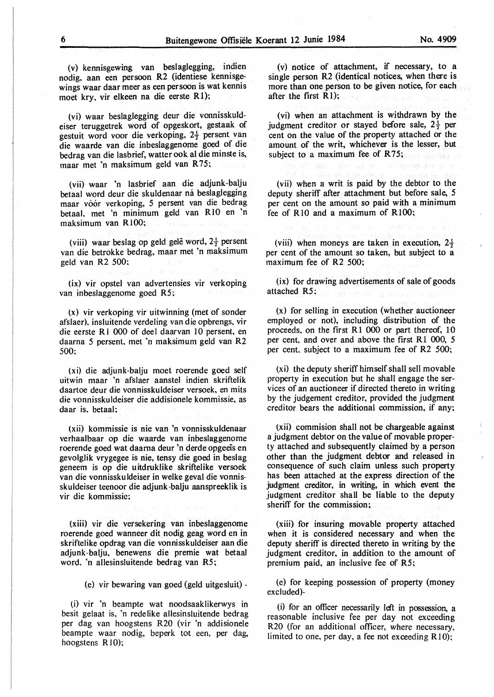(v) kennisgewing van beslaglegging, indien nodig, aan een persoon R2 (identiese kennisgewings waar daar meer as een persoon is wat kennis moet kry, vir elkeen na die eerste Rl);

(vi) waar beslaglegging deur die vonnisskuldeiser teruggetrek word of opgeskort, gestaak of gestuit word voor die verkoping, 2½ persent van die waarde van die inbeslaggenome goed of die bedrag van die lasbrief, watter ook al die minste is, maar met 'n maksimum geld van R75;

(vii) waar 'n lasbrief aan die adjunk-balju betaal word deur die skuldenaar ná beslaglegging maar vóor verkoping, 5 persent van die bedrag betaal. met 'n minimum geld van RIO en 'n maksimum van RIOO;

(viii) waar beslag op geld gelê word,  $2\frac{1}{2}$  persent van die betrokke bedrag, maar met 'n maksimum geld van R2 500;

(ix) vir opstel van advertensies vir verkoping van inbeslaggenome goed R5;

(x) vir verkoping vir uitwinning (met of sonder afslaer). insluitende verdeling van die opbrengs, vir die eerste R<sub>1</sub> 000 of deel daarvan 10 persent, en daarna 5 persent, met 'n maksimum geld van R2 500:

(xi) die adjunk-balju moet roerende goed self uitwin maar 'n afslaer aanstel indien skriftelik daartoe deur die vonnisskuldeiser versoek, en mits die vonnisskuldeiser die addisionele kommissie, as daar is. betaal;

(xii) kommissie is nie van 'n vonnisskuldenaar verhaalbaar op die waarde van inbeslaggenome roerende goed wat daama deur 'n derde opgeeis en gevolglik vrygegee is nie, tensy die goed in beslag geneem is op die uitdruklike skriftelike versoek van die vonnisskuldeiser in welke geval die vonnisskuldeiser teenoor die adjunk-balju aanspreeklik is vir die kommissic;

(xiii) vir die versekering van inbeslaggenome roerende goed wanneer dit nodig geag word en in skriftelike opdrag van die vonnisskuldeiser aan die adjunk-balju, benewens die premie wat betaal word. 'n allesinsluitende bedrag van **R5;** 

(e) vir bewaring van goed (geld uitgesluit) -

(i) vir 'n beampte wat noodsaaklikerwys in besit gelaat is, 'n redelike allesinsluitende bedrag per dag van hoogstens R20 (vir 'n addisionele beampte waar nodig, beperk tot een, per dag, hoogstens  $R10$ ;

(v) notice of attachment, if necessary, to a single person R2 (identical notices, when there is more than one person to be given notice, for each after the first RI);

(vi) when an attachment is withdrawn by the judgment creditor or stayed before sale,  $2\frac{1}{2}$  per cent on the value of the property attached or the amount of the writ, whichever is the lesser, but subject to a maximum fee of R75;

(vii) when a writ is paid by the debtor to the deputy sheriff after attachment but before sale, 5 per cent on the amount so paid with a minimum fee of R<sub>10</sub> and a maximum of R<sub>100</sub>;

(viii) when moneys are taken in execution,  $2\frac{1}{2}$ per cent of the amount so taken, but subject to a maximum fee of R2 500;

(ix) for drawing advertisements of sale of goods attached R5;

(x) for selling in execution (whether auctioneer employed or not), including distribution of the proceeds, on the first RI 000 or part thereof, 10 per cent, and over and above the first R1 000, 5 per cent. subject to a maximum fee of R2 500;

(xi) the deputy sheriff himself shall sell movable property in execution but he shall engage the services of an auctioneer if directed thereto in writing by the judgement creditor, provided the judgment creditor bears the additional commission, if any;

(xii) commision shall not be chargeable against a judgment debtor on the value of movable property attached and subsequently claimed by a person other than the judgment debtor and released in consequence of such claim unless such property has been attached at the express direction of the judgment creditor, in writing, in which event the judgment creditor shall be liable to the deputy sheriff for the commission;

(xiii) for insuring movable property attached when it is considered necessary and when the deputy sheriff is directed thereto in writing by the judgment creditor, in addition to the amount of premium paid, an inclusive fee of R5;

(e) for keeping possession of property (money excluded)-

(i) for an officer necessarily left in possession, a reasonable inclusive fee per day not exceeding R20 (for an additional officer, where necessary, limited to one, per day, a fee not exceeding R10);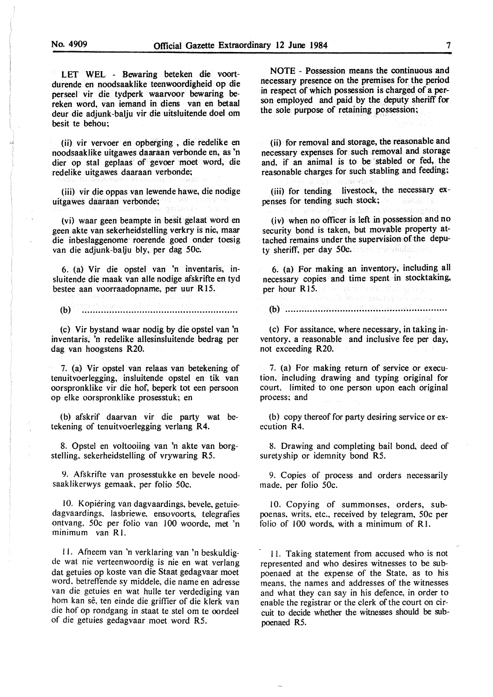LET WEL - Bewaring beteken die voortdurende en noodsaaklike teenwoordigheid op die perseel vir die tydperk waarvoor bewaring bereken word, van iemand in diens van en betaal deur die adjunk-balju vir die uitsluitende doel om besit te behou;

(ii) vir vervoer en opberging , die redelike en noodsaaklike uitgawes daaraan verbonde en, as 'n dier op stal geplaas of gevoer moet word, die redelike uitgawes daaraan verbonde;

(iii) vir die oppas van lewende hawe, die nodige uitgawes daaraan verbonde;

(vi) waar geen beampte in besit gelaat word en geen akte van sekerheidstelling verkry is nie, maar die inbeslaggenome' roerende goed onder toesig van die adjunk-balju bly, per dag 50c.

6. (a) Vir die opstel van 'n inventaris, insluitende die maak van alle nodige afskrifte en tyd bestee aan voorraadopname, per uur R 15.

 $(b)$ 

(c) Vir bystand waar nodig by die opstel van 'n inventaris, 'n redelike allesinsluitende bedrag per dag van hoogstens R20.

7. (a) Vir opstel van relaas van betekening of tenuitvoerlegging, insluitende opstel en tik van oorspronklike vir die hof, beperk tot een persoon op elke oorspronklike prosesstuk; en

(b) afskrif daarvan vir die party wat betekening of tenuitvoerlegging verlang **R4.** 

8. Opstel en voltooiing van 'n akte van borgstelling. sekerheidstelling of vrywaring R5.

9. Afskrifte van prosesstukke en bevele noodsaaklikerwys gemaak, per folio 50c.

IO. Kopiering van dagvaardings, bevele, getuiedagvaardings, lasbriewe, ensovoorts, telegrafies ontvang. 50c per folio van 100 woorde, met 'n minimum van RI.

l l. Afneem van 'n verklaring van 'n beskuldigde wat nie verteenwoordig is nie en wat verlang dat getuies op koste van die Staat gedagvaar moet word. betreflende sy middele, die name en adresse van die getuies en wat hulle ter verdediging van hom kan sê, ten einde die griffier of die klerk van die hof op rondgang in staat te stel om te oordeel of die getuies gedagvaar moet word RS.

NOTE - Possession means the continuous and necessary presence on the premises for the period in respect of which possession is charged of a person employed and paid by the deputy sheriff for the sole purpose of retaining possession;

(ii) for removal and storage, the reasonable and necessary expenses for such removal and storage and, if an animal is to be stabled or fed, the reasonable charges for such stabling and feeding;

(iii) for tending livestock, the necessary expenses for tending such stock;

(iv) when no officer is left in possession and no security bond is taken, but movable property attached remains·under the supervision of the deputy sheriff, per day 50c. and the solutions

6. (a) For making an inventory, including all necessary copies and time spent in stocktaking, per hour R 15.

## (b) ......................................................... ..

(c) For assitance, where necessary, in taking inventory. a reasonable and inclusive fee per day, not exceeding R20.

7. (a) For making return of service or execution. including drawing and typing original for court. limited to one person upon each original process; and

(b) copy thereof for party desiring service or execution R4.

8. Drawing and completing bail bond, deed of suretyship or idemnity bond R5.

9. Copies of process and orders necessarily made. per folio 50c.

IO. Copying of summonses, orders, subpoenas, writs, etc., received by telegram, 50c per folio of 100 words, with a minimum of Rl.

11. Taking statement from accused who is not represented and who desires witnesses to be subpoenaed at the expense of the State, as to his means. the names and addresses of the witnesses and what they can say in his defence, in order to enable the registrar or the clerk of the court on circuit to decide whether the witnesses should be subpoenaed R5.